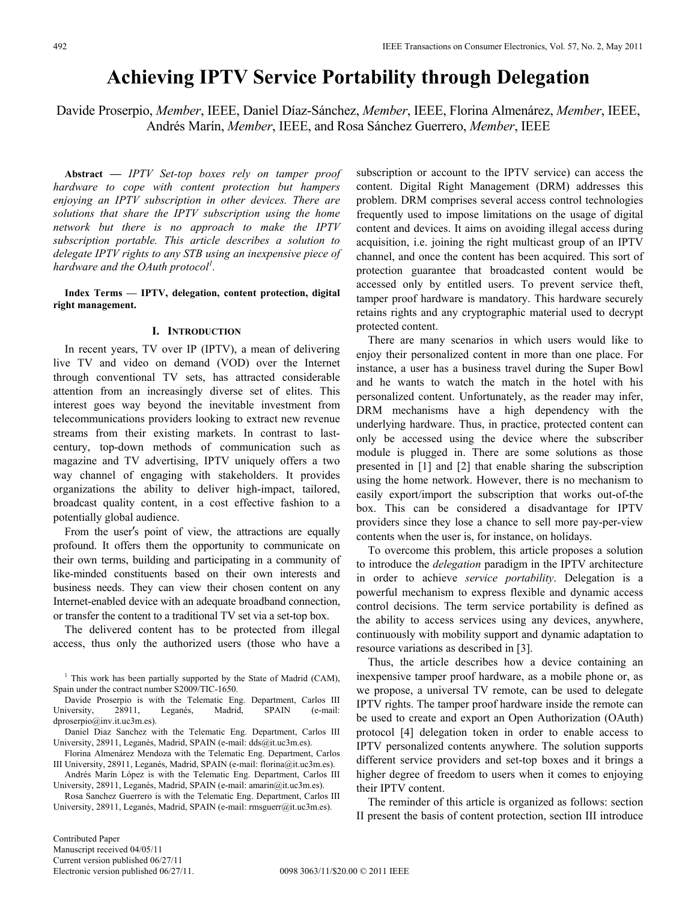# **Achieving IPTV Service Portability through Delegation**

Davide Proserpio, *Member*, IEEE, Daniel Díaz-Sánchez, *Member*, IEEE, Florina Almenárez, *Member*, IEEE, Andrés Marín, *Member*, IEEE, and Rosa Sánchez Guerrero, *Member*, IEEE

**Abstract** *— IPTV Set-top boxes rely on tamper proof hardware to cope with content protection but hampers enjoying an IPTV subscription in other devices. There are solutions that share the IPTV subscription using the home network but there is no approach to make the IPTV subscription portable. This article describes a solution to delegate IPTV rights to any STB using an inexpensive piece of hardware and the OAuth protocol*<sup>*l</sup>*.</sup>

**Index Terms — IPTV, delegation, content protection, digital right management.** 

## **I. INTRODUCTION**

In recent years, TV over IP (IPTV), a mean of delivering live TV and video on demand (VOD) over the Internet through conventional TV sets, has attracted considerable attention from an increasingly diverse set of elites. This interest goes way beyond the inevitable investment from telecommunications providers looking to extract new revenue streams from their existing markets. In contrast to lastcentury, top-down methods of communication such as magazine and TV advertising, IPTV uniquely offers a two way channel of engaging with stakeholders. It provides organizations the ability to deliver high-impact, tailored, broadcast quality content, in a cost effective fashion to a potentially global audience.

From the user's point of view, the attractions are equally profound. It offers them the opportunity to communicate on their own terms, building and participating in a community of like-minded constituents based on their own interests and business needs. They can view their chosen content on any Internet-enabled device with an adequate broadband connection, or transfer the content to a traditional TV set via a set-top box.

The delivered content has to be protected from illegal access, thus only the authorized users (those who have a

Davide Proserpio is with the Telematic Eng. Department, Carlos III University, 28911, Leganés, Madrid, SPAIN (e-mail: dproserpio@inv.it.uc3m.es).

Daniel Diaz Sanchez with the Telematic Eng. Department, Carlos III University, 28911, Leganés, Madrid, SPAIN (e-mail: dds@it.uc3m.es).

Florina Almenárez Mendoza with the Telematic Eng. Department, Carlos III University, 28911, Leganés, Madrid, SPAIN (e-mail: florina@it.uc3m.es).

Andrés Marín López is with the Telematic Eng. Department, Carlos III University, 28911, Leganés, Madrid, SPAIN (e-mail: amarin@it.uc3m.es).

Rosa Sanchez Guerrero is with the Telematic Eng. Department, Carlos III University, 28911, Leganés, Madrid, SPAIN (e-mail: rmsguerr@it.uc3m.es).

subscription or account to the IPTV service) can access the content. Digital Right Management (DRM) addresses this problem. DRM comprises several access control technologies frequently used to impose limitations on the usage of digital content and devices. It aims on avoiding illegal access during acquisition, i.e. joining the right multicast group of an IPTV channel, and once the content has been acquired. This sort of protection guarantee that broadcasted content would be accessed only by entitled users. To prevent service theft, tamper proof hardware is mandatory. This hardware securely retains rights and any cryptographic material used to decrypt protected content.

There are many scenarios in which users would like to enjoy their personalized content in more than one place. For instance, a user has a business travel during the Super Bowl and he wants to watch the match in the hotel with his personalized content. Unfortunately, as the reader may infer, DRM mechanisms have a high dependency with the underlying hardware. Thus, in practice, protected content can only be accessed using the device where the subscriber module is plugged in. There are some solutions as those presented in [1] and [2] that enable sharing the subscription using the home network. However, there is no mechanism to easily export/import the subscription that works out-of-the box. This can be considered a disadvantage for IPTV providers since they lose a chance to sell more pay-per-view contents when the user is, for instance, on holidays.

To overcome this problem, this article proposes a solution to introduce the *delegation* paradigm in the IPTV architecture in order to achieve *service portability*. Delegation is a powerful mechanism to express flexible and dynamic access control decisions. The term service portability is defined as the ability to access services using any devices, anywhere, continuously with mobility support and dynamic adaptation to resource variations as described in [3].

Thus, the article describes how a device containing an inexpensive tamper proof hardware, as a mobile phone or, as we propose, a universal TV remote, can be used to delegate IPTV rights. The tamper proof hardware inside the remote can be used to create and export an Open Authorization (OAuth) protocol [4] delegation token in order to enable access to IPTV personalized contents anywhere. The solution supports different service providers and set-top boxes and it brings a higher degree of freedom to users when it comes to enjoying their IPTV content.

The reminder of this article is organized as follows: section II present the basis of content protection, section III introduce

<sup>&</sup>lt;sup>1</sup> This work has been partially supported by the State of Madrid (CAM), Spain under the contract number S2009/TIC-1650.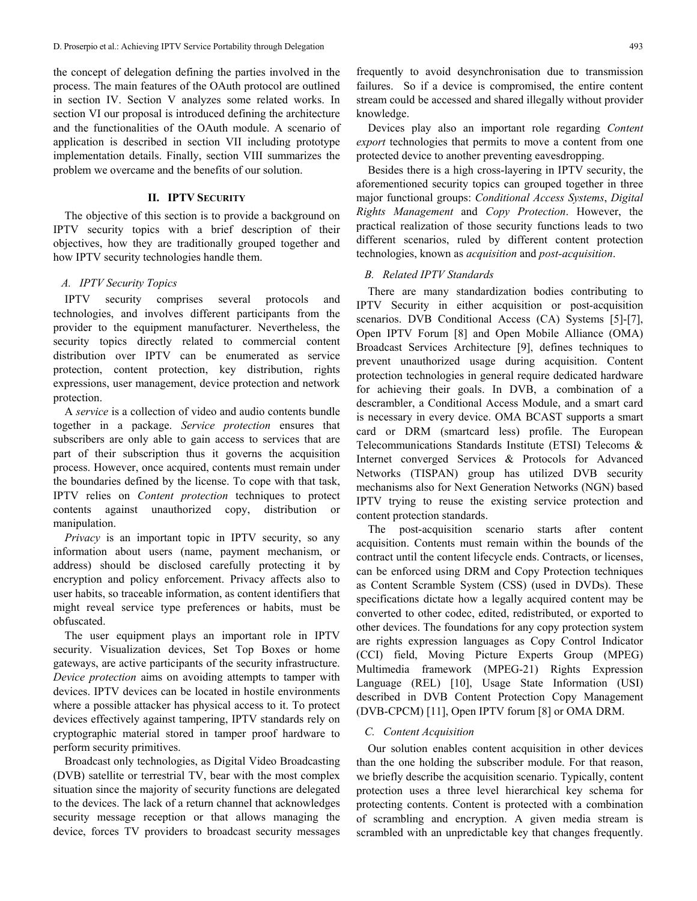the concept of delegation defining the parties involved in the process. The main features of the OAuth protocol are outlined in section IV. Section V analyzes some related works. In section VI our proposal is introduced defining the architecture and the functionalities of the OAuth module. A scenario of application is described in section VII including prototype implementation details. Finally, section VIII summarizes the problem we overcame and the benefits of our solution.

#### **II. IPTV SECURITY**

The objective of this section is to provide a background on IPTV security topics with a brief description of their objectives, how they are traditionally grouped together and how IPTV security technologies handle them.

## *A. IPTV Security Topics*

IPTV security comprises several protocols and technologies, and involves different participants from the provider to the equipment manufacturer. Nevertheless, the security topics directly related to commercial content distribution over IPTV can be enumerated as service protection, content protection, key distribution, rights expressions, user management, device protection and network protection.

A *service* is a collection of video and audio contents bundle together in a package. *Service protection* ensures that subscribers are only able to gain access to services that are part of their subscription thus it governs the acquisition process. However, once acquired, contents must remain under the boundaries defined by the license. To cope with that task, IPTV relies on *Content protection* techniques to protect contents against unauthorized copy, distribution or manipulation.

*Privacy* is an important topic in IPTV security, so any information about users (name, payment mechanism, or address) should be disclosed carefully protecting it by encryption and policy enforcement. Privacy affects also to user habits, so traceable information, as content identifiers that might reveal service type preferences or habits, must be obfuscated.

The user equipment plays an important role in IPTV security. Visualization devices, Set Top Boxes or home gateways, are active participants of the security infrastructure. *Device protection* aims on avoiding attempts to tamper with devices. IPTV devices can be located in hostile environments where a possible attacker has physical access to it. To protect devices effectively against tampering, IPTV standards rely on cryptographic material stored in tamper proof hardware to perform security primitives.

Broadcast only technologies, as Digital Video Broadcasting (DVB) satellite or terrestrial TV, bear with the most complex situation since the majority of security functions are delegated to the devices. The lack of a return channel that acknowledges security message reception or that allows managing the device, forces TV providers to broadcast security messages

frequently to avoid desynchronisation due to transmission failures. So if a device is compromised, the entire content stream could be accessed and shared illegally without provider knowledge.

Devices play also an important role regarding *Content export* technologies that permits to move a content from one protected device to another preventing eavesdropping.

Besides there is a high cross-layering in IPTV security, the aforementioned security topics can grouped together in three major functional groups: *Conditional Access Systems*, *Digital Rights Management* and *Copy Protection*. However, the practical realization of those security functions leads to two different scenarios, ruled by different content protection technologies, known as *acquisition* and *post-acquisition*.

# *B. Related IPTV Standards*

There are many standardization bodies contributing to IPTV Security in either acquisition or post-acquisition scenarios. DVB Conditional Access (CA) Systems [5]-[7], Open IPTV Forum [8] and Open Mobile Alliance (OMA) Broadcast Services Architecture [9], defines techniques to prevent unauthorized usage during acquisition. Content protection technologies in general require dedicated hardware for achieving their goals. In DVB, a combination of a descrambler, a Conditional Access Module, and a smart card is necessary in every device. OMA BCAST supports a smart card or DRM (smartcard less) profile. The European Telecommunications Standards Institute (ETSI) Telecoms & Internet converged Services & Protocols for Advanced Networks (TISPAN) group has utilized DVB security mechanisms also for Next Generation Networks (NGN) based IPTV trying to reuse the existing service protection and content protection standards.

The post-acquisition scenario starts after content acquisition. Contents must remain within the bounds of the contract until the content lifecycle ends. Contracts, or licenses, can be enforced using DRM and Copy Protection techniques as Content Scramble System (CSS) (used in DVDs). These specifications dictate how a legally acquired content may be converted to other codec, edited, redistributed, or exported to other devices. The foundations for any copy protection system are rights expression languages as Copy Control Indicator (CCI) field, Moving Picture Experts Group (MPEG) Multimedia framework (MPEG-21) Rights Expression Language (REL) [10], Usage State Information (USI) described in DVB Content Protection Copy Management (DVB-CPCM) [11], Open IPTV forum [8] or OMA DRM.

## *C. Content Acquisition*

Our solution enables content acquisition in other devices than the one holding the subscriber module. For that reason, we briefly describe the acquisition scenario. Typically, content protection uses a three level hierarchical key schema for protecting contents. Content is protected with a combination of scrambling and encryption. A given media stream is scrambled with an unpredictable key that changes frequently.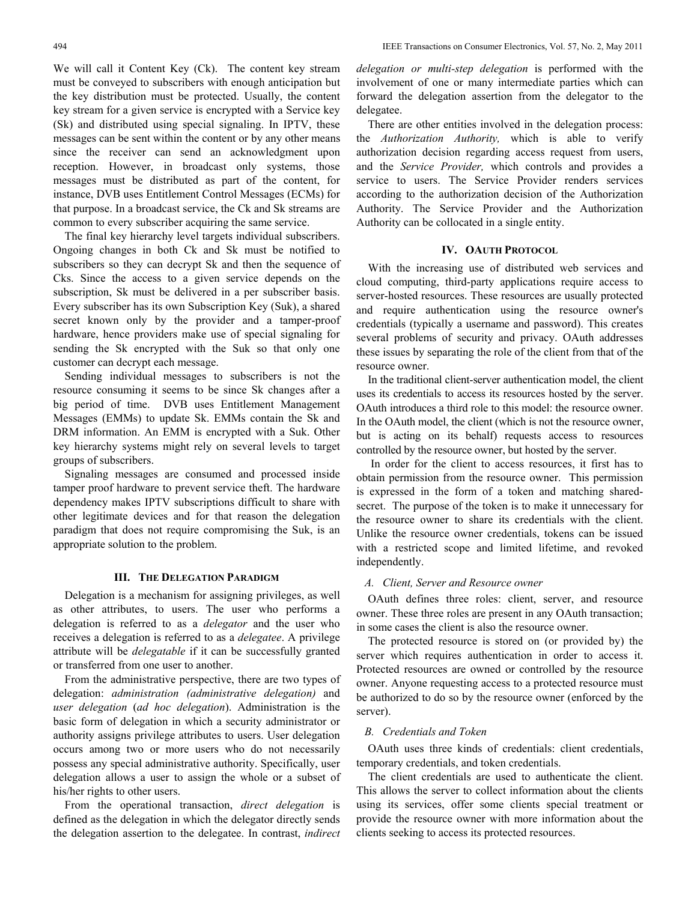We will call it Content Key (Ck). The content key stream must be conveyed to subscribers with enough anticipation but the key distribution must be protected. Usually, the content key stream for a given service is encrypted with a Service key (Sk) and distributed using special signaling. In IPTV, these messages can be sent within the content or by any other means since the receiver can send an acknowledgment upon reception. However, in broadcast only systems, those messages must be distributed as part of the content, for instance, DVB uses Entitlement Control Messages (ECMs) for that purpose. In a broadcast service, the Ck and Sk streams are common to every subscriber acquiring the same service.

The final key hierarchy level targets individual subscribers. Ongoing changes in both Ck and Sk must be notified to subscribers so they can decrypt Sk and then the sequence of Cks. Since the access to a given service depends on the subscription, Sk must be delivered in a per subscriber basis. Every subscriber has its own Subscription Key (Suk), a shared secret known only by the provider and a tamper-proof hardware, hence providers make use of special signaling for sending the Sk encrypted with the Suk so that only one customer can decrypt each message.

Sending individual messages to subscribers is not the resource consuming it seems to be since Sk changes after a big period of time. DVB uses Entitlement Management Messages (EMMs) to update Sk. EMMs contain the Sk and DRM information. An EMM is encrypted with a Suk. Other key hierarchy systems might rely on several levels to target groups of subscribers.

Signaling messages are consumed and processed inside tamper proof hardware to prevent service theft. The hardware dependency makes IPTV subscriptions difficult to share with other legitimate devices and for that reason the delegation paradigm that does not require compromising the Suk, is an appropriate solution to the problem.

## **III. THE DELEGATION PARADIGM**

Delegation is a mechanism for assigning privileges, as well as other attributes, to users. The user who performs a delegation is referred to as a *delegator* and the user who receives a delegation is referred to as a *delegatee*. A privilege attribute will be *delegatable* if it can be successfully granted or transferred from one user to another.

From the administrative perspective, there are two types of delegation: *administration (administrative delegation)* and *user delegation* (*ad hoc delegation*). Administration is the basic form of delegation in which a security administrator or authority assigns privilege attributes to users. User delegation occurs among two or more users who do not necessarily possess any special administrative authority. Specifically, user delegation allows a user to assign the whole or a subset of his/her rights to other users.

From the operational transaction, *direct delegation* is defined as the delegation in which the delegator directly sends the delegation assertion to the delegatee. In contrast, *indirect*  *delegation or multi-step delegation* is performed with the involvement of one or many intermediate parties which can forward the delegation assertion from the delegator to the delegatee.

There are other entities involved in the delegation process: the *Authorization Authority,* which is able to verify authorization decision regarding access request from users, and the *Service Provider,* which controls and provides a service to users. The Service Provider renders services according to the authorization decision of the Authorization Authority. The Service Provider and the Authorization Authority can be collocated in a single entity.

## **IV. OAUTH PROTOCOL**

With the increasing use of distributed web services and cloud computing, third-party applications require access to server-hosted resources. These resources are usually protected and require authentication using the resource owner's credentials (typically a username and password). This creates several problems of security and privacy. OAuth addresses these issues by separating the role of the client from that of the resource owner.

In the traditional client-server authentication model, the client uses its credentials to access its resources hosted by the server. OAuth introduces a third role to this model: the resource owner. In the OAuth model, the client (which is not the resource owner, but is acting on its behalf) requests access to resources controlled by the resource owner, but hosted by the server.

 In order for the client to access resources, it first has to obtain permission from the resource owner. This permission is expressed in the form of a token and matching sharedsecret. The purpose of the token is to make it unnecessary for the resource owner to share its credentials with the client. Unlike the resource owner credentials, tokens can be issued with a restricted scope and limited lifetime, and revoked independently.

## *A. Client, Server and Resource owner*

OAuth defines three roles: client, server, and resource owner. These three roles are present in any OAuth transaction; in some cases the client is also the resource owner.

The protected resource is stored on (or provided by) the server which requires authentication in order to access it. Protected resources are owned or controlled by the resource owner. Anyone requesting access to a protected resource must be authorized to do so by the resource owner (enforced by the server).

## *B. Credentials and Token*

OAuth uses three kinds of credentials: client credentials, temporary credentials, and token credentials.

 The client credentials are used to authenticate the client. This allows the server to collect information about the clients using its services, offer some clients special treatment or provide the resource owner with more information about the clients seeking to access its protected resources.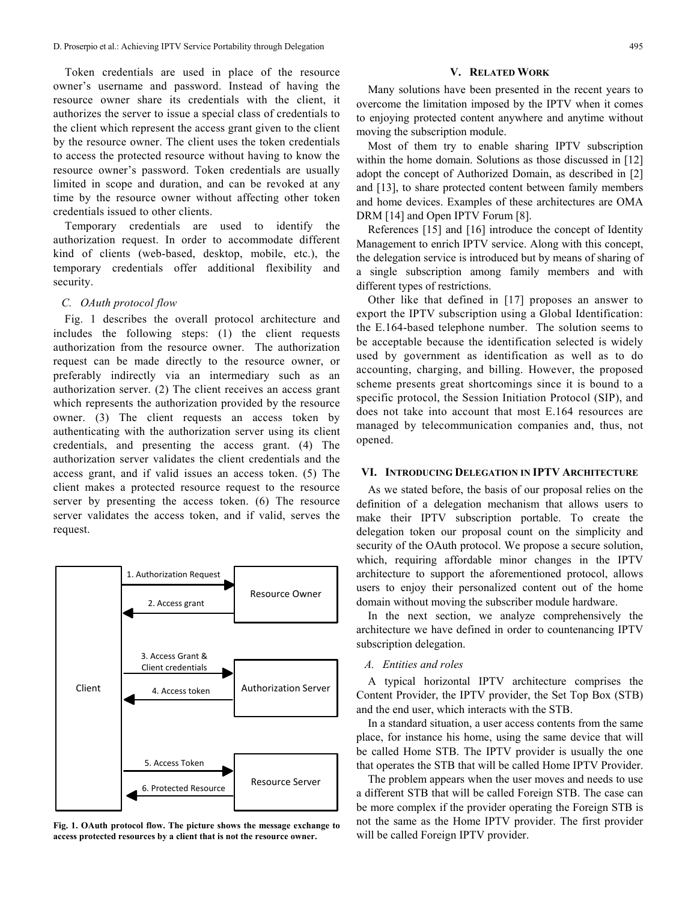Token credentials are used in place of the resource owner's username and password. Instead of having the resource owner share its credentials with the client, it authorizes the server to issue a special class of credentials to the client which represent the access grant given to the client by the resource owner. The client uses the token credentials to access the protected resource without having to know the resource owner's password. Token credentials are usually limited in scope and duration, and can be revoked at any time by the resource owner without affecting other token credentials issued to other clients.

 Temporary credentials are used to identify the authorization request. In order to accommodate different kind of clients (web-based, desktop, mobile, etc.), the temporary credentials offer additional flexibility and security.

#### *C. OAuth protocol flow*

Fig. 1 describes the overall protocol architecture and includes the following steps: (1) the client requests authorization from the resource owner. The authorization request can be made directly to the resource owner, or preferably indirectly via an intermediary such as an authorization server. (2) The client receives an access grant which represents the authorization provided by the resource owner. (3) The client requests an access token by authenticating with the authorization server using its client credentials, and presenting the access grant. (4) The authorization server validates the client credentials and the access grant, and if valid issues an access token. (5) The client makes a protected resource request to the resource server by presenting the access token. (6) The resource server validates the access token, and if valid, serves the request.



**Fig. 1. OAuth protocol flow. The picture shows the message exchange to access protected resources by a client that is not the resource owner.** 

#### **V. RELATED WORK**

Many solutions have been presented in the recent years to overcome the limitation imposed by the IPTV when it comes to enjoying protected content anywhere and anytime without moving the subscription module.

Most of them try to enable sharing IPTV subscription within the home domain. Solutions as those discussed in [12] adopt the concept of Authorized Domain, as described in [2] and [13], to share protected content between family members and home devices. Examples of these architectures are OMA DRM [14] and Open IPTV Forum [8].

References [15] and [16] introduce the concept of Identity Management to enrich IPTV service. Along with this concept, the delegation service is introduced but by means of sharing of a single subscription among family members and with different types of restrictions.

Other like that defined in [17] proposes an answer to export the IPTV subscription using a Global Identification: the E.164-based telephone number. The solution seems to be acceptable because the identification selected is widely used by government as identification as well as to do accounting, charging, and billing. However, the proposed scheme presents great shortcomings since it is bound to a specific protocol, the Session Initiation Protocol (SIP), and does not take into account that most E.164 resources are managed by telecommunication companies and, thus, not opened.

## **VI. INTRODUCING DELEGATION IN IPTV ARCHITECTURE**

As we stated before, the basis of our proposal relies on the definition of a delegation mechanism that allows users to make their IPTV subscription portable. To create the delegation token our proposal count on the simplicity and security of the OAuth protocol. We propose a secure solution, which, requiring affordable minor changes in the IPTV architecture to support the aforementioned protocol, allows users to enjoy their personalized content out of the home domain without moving the subscriber module hardware.

In the next section, we analyze comprehensively the architecture we have defined in order to countenancing IPTV subscription delegation.

# *A. Entities and roles*

A typical horizontal IPTV architecture comprises the Content Provider, the IPTV provider, the Set Top Box (STB) and the end user, which interacts with the STB.

In a standard situation, a user access contents from the same place, for instance his home, using the same device that will be called Home STB. The IPTV provider is usually the one that operates the STB that will be called Home IPTV Provider.

The problem appears when the user moves and needs to use a different STB that will be called Foreign STB. The case can be more complex if the provider operating the Foreign STB is not the same as the Home IPTV provider. The first provider will be called Foreign IPTV provider.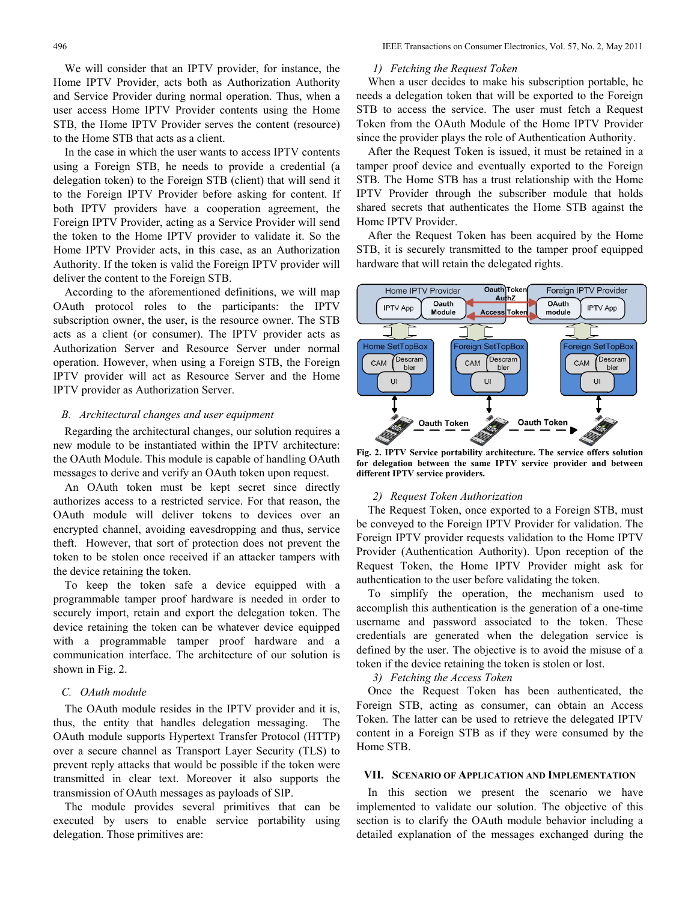We will consider that an IPTV provider, for instance, the Home IPTV Provider, acts both as Authorization Authority and Service Provider during normal operation. Thus, when a user access Home IPTV Provider contents using the Home STB, the Home IPTV Provider serves the content (resource) to the Home STB that acts as a client.

In the case in which the user wants to access IPTV contents using a Foreign STB, he needs to provide a credential (a delegation token) to the Foreign STB (client) that will send it to the Foreign IPTV Provider before asking for content. If both IPTV providers have a cooperation agreement, the Foreign IPTV Provider, acting as a Service Provider will send the token to the Home IPTV provider to validate it. So the Home IPTV Provider acts, in this case, as an Authorization Authority. If the token is valid the Foreign IPTV provider will deliver the content to the Foreign STB.

According to the aforementioned definitions, we will map OAuth protocol roles to the participants: the IPTV subscription owner, the user, is the resource owner. The STB acts as a client (or consumer). The IPTV provider acts as Authorization Server and Resource Server under normal operation. However, when using a Foreign STB, the Foreign IPTV provider will act as Resource Server and the Home IPTV provider as Authorization Server.

# *B. Architectural changes and user equipment*

Regarding the architectural changes, our solution requires a new module to be instantiated within the IPTV architecture: the OAuth Module. This module is capable of handling OAuth messages to derive and verify an OAuth token upon request.

An OAuth token must be kept secret since directly authorizes access to a restricted service. For that reason, the OAuth module will deliver tokens to devices over an encrypted channel, avoiding eavesdropping and thus, service theft. However, that sort of protection does not prevent the token to be stolen once received if an attacker tampers with the device retaining the token.

To keep the token safe a device equipped with a programmable tamper proof hardware is needed in order to securely import, retain and export the delegation token. The device retaining the token can be whatever device equipped with a programmable tamper proof hardware and a communication interface. The architecture of our solution is shown in Fig. 2.

# *C. OAuth module*

The OAuth module resides in the IPTV provider and it is, thus, the entity that handles delegation messaging. The OAuth module supports Hypertext Transfer Protocol (HTTP) over a secure channel as Transport Layer Security (TLS) to prevent reply attacks that would be possible if the token were transmitted in clear text. Moreover it also supports the transmission of OAuth messages as payloads of SIP.

The module provides several primitives that can be executed by users to enable service portability using delegation. Those primitives are:

## *1) Fetching the Request Token*

When a user decides to make his subscription portable, he needs a delegation token that will be exported to the Foreign STB to access the service. The user must fetch a Request Token from the OAuth Module of the Home IPTV Provider since the provider plays the role of Authentication Authority.

After the Request Token is issued, it must be retained in a tamper proof device and eventually exported to the Foreign STB. The Home STB has a trust relationship with the Home IPTV Provider through the subscriber module that holds shared secrets that authenticates the Home STB against the Home IPTV Provider.

After the Request Token has been acquired by the Home STB, it is securely transmitted to the tamper proof equipped hardware that will retain the delegated rights.



**Fig. 2. IPTV Service portability architecture. The service offers solution for delegation between the same IPTV service provider and between different IPTV service providers.** 

#### *2) Request Token Authorization*

The Request Token, once exported to a Foreign STB, must be conveyed to the Foreign IPTV Provider for validation. The Foreign IPTV provider requests validation to the Home IPTV Provider (Authentication Authority). Upon reception of the Request Token, the Home IPTV Provider might ask for authentication to the user before validating the token.

To simplify the operation, the mechanism used to accomplish this authentication is the generation of a one-time username and password associated to the token. These credentials are generated when the delegation service is defined by the user. The objective is to avoid the misuse of a token if the device retaining the token is stolen or lost.

*3) Fetching the Access Token* 

Once the Request Token has been authenticated, the Foreign STB, acting as consumer, can obtain an Access Token. The latter can be used to retrieve the delegated IPTV content in a Foreign STB as if they were consumed by the Home STB.

## **VII. SCENARIO OF APPLICATION AND IMPLEMENTATION**

In this section we present the scenario we have implemented to validate our solution. The objective of this section is to clarify the OAuth module behavior including a detailed explanation of the messages exchanged during the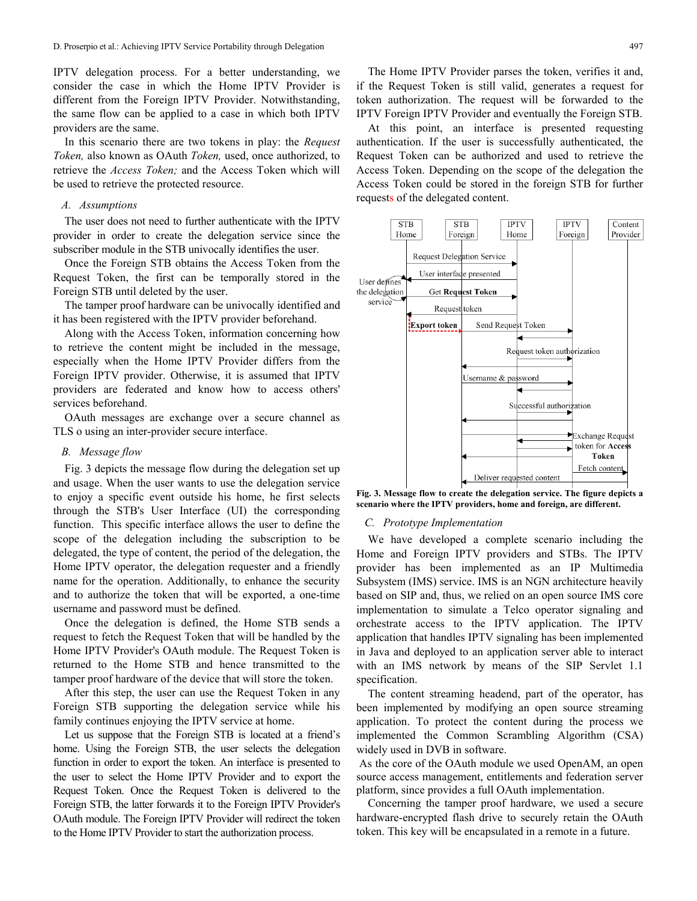IPTV delegation process. For a better understanding, we consider the case in which the Home IPTV Provider is different from the Foreign IPTV Provider. Notwithstanding, the same flow can be applied to a case in which both IPTV providers are the same.

In this scenario there are two tokens in play: the *Request Token,* also known as OAuth *Token,* used, once authorized, to retrieve the *Access Token;* and the Access Token which will be used to retrieve the protected resource.

# *A. Assumptions*

The user does not need to further authenticate with the IPTV provider in order to create the delegation service since the subscriber module in the STB univocally identifies the user.

Once the Foreign STB obtains the Access Token from the Request Token, the first can be temporally stored in the Foreign STB until deleted by the user.

The tamper proof hardware can be univocally identified and it has been registered with the IPTV provider beforehand.

Along with the Access Token, information concerning how to retrieve the content might be included in the message, especially when the Home IPTV Provider differs from the Foreign IPTV provider. Otherwise, it is assumed that IPTV providers are federated and know how to access others' services beforehand.

OAuth messages are exchange over a secure channel as TLS o using an inter-provider secure interface.

## *B. Message flow*

Fig. 3 depicts the message flow during the delegation set up and usage. When the user wants to use the delegation service to enjoy a specific event outside his home, he first selects through the STB's User Interface (UI) the corresponding function. This specific interface allows the user to define the scope of the delegation including the subscription to be delegated, the type of content, the period of the delegation, the Home IPTV operator, the delegation requester and a friendly name for the operation. Additionally, to enhance the security and to authorize the token that will be exported, a one-time username and password must be defined.

Once the delegation is defined, the Home STB sends a request to fetch the Request Token that will be handled by the Home IPTV Provider's OAuth module. The Request Token is returned to the Home STB and hence transmitted to the tamper proof hardware of the device that will store the token.

After this step, the user can use the Request Token in any Foreign STB supporting the delegation service while his family continues enjoying the IPTV service at home.

Let us suppose that the Foreign STB is located at a friend's home. Using the Foreign STB, the user selects the delegation function in order to export the token. An interface is presented to the user to select the Home IPTV Provider and to export the Request Token. Once the Request Token is delivered to the Foreign STB, the latter forwards it to the Foreign IPTV Provider's OAuth module. The Foreign IPTV Provider will redirect the token to the Home IPTV Provider to start the authorization process.

The Home IPTV Provider parses the token, verifies it and, if the Request Token is still valid, generates a request for token authorization. The request will be forwarded to the IPTV Foreign IPTV Provider and eventually the Foreign STB.

 At this point, an interface is presented requesting authentication. If the user is successfully authenticated, the Request Token can be authorized and used to retrieve the Access Token. Depending on the scope of the delegation the Access Token could be stored in the foreign STB for further requests of the delegated content.



**Fig. 3. Message flow to create the delegation service. The figure depicts a scenario where the IPTV providers, home and foreign, are different.** 

#### *C. Prototype Implementation*

We have developed a complete scenario including the Home and Foreign IPTV providers and STBs. The IPTV provider has been implemented as an IP Multimedia Subsystem (IMS) service. IMS is an NGN architecture heavily based on SIP and, thus, we relied on an open source IMS core implementation to simulate a Telco operator signaling and orchestrate access to the IPTV application. The IPTV application that handles IPTV signaling has been implemented in Java and deployed to an application server able to interact with an IMS network by means of the SIP Servlet 1.1 specification.

The content streaming headend, part of the operator, has been implemented by modifying an open source streaming application. To protect the content during the process we implemented the Common Scrambling Algorithm (CSA) widely used in DVB in software.

 As the core of the OAuth module we used OpenAM, an open source access management, entitlements and federation server platform, since provides a full OAuth implementation.

Concerning the tamper proof hardware, we used a secure hardware-encrypted flash drive to securely retain the OAuth token. This key will be encapsulated in a remote in a future.